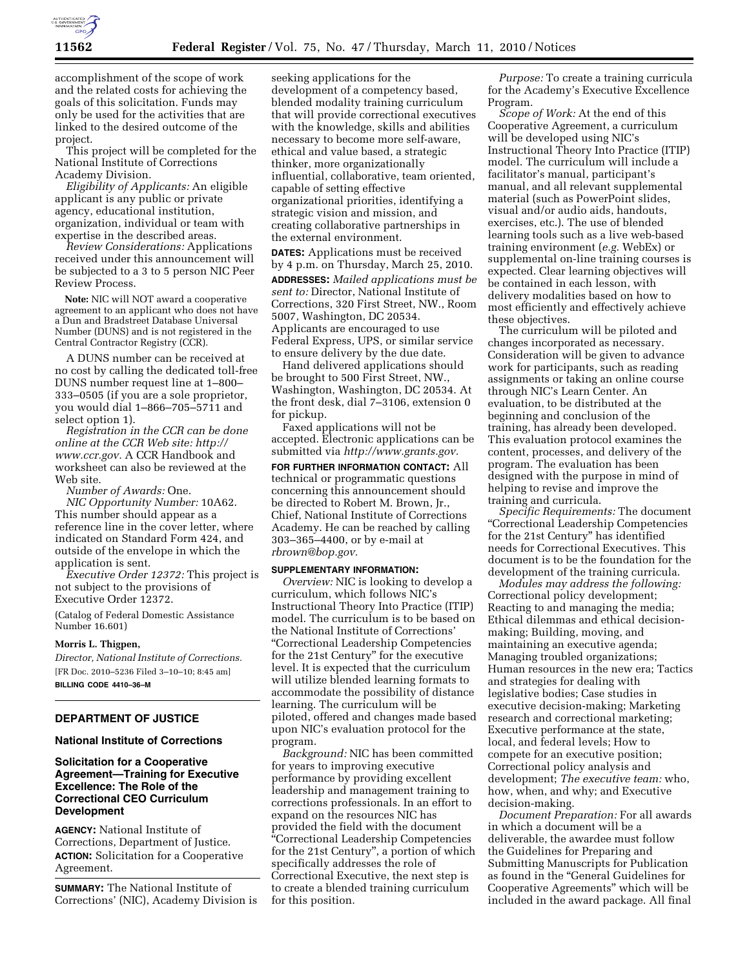

accomplishment of the scope of work and the related costs for achieving the goals of this solicitation. Funds may only be used for the activities that are linked to the desired outcome of the project.

This project will be completed for the National Institute of Corrections Academy Division.

*Eligibility of Applicants:* An eligible applicant is any public or private agency, educational institution, organization, individual or team with expertise in the described areas.

*Review Considerations:* Applications received under this announcement will be subjected to a 3 to 5 person NIC Peer Review Process.

**Note:** NIC will NOT award a cooperative agreement to an applicant who does not have a Dun and Bradstreet Database Universal Number (DUNS) and is not registered in the Central Contractor Registry (CCR).

A DUNS number can be received at no cost by calling the dedicated toll-free DUNS number request line at 1–800– 333–0505 (if you are a sole proprietor, you would dial 1–866–705–5711 and select option 1).

*Registration in the CCR can be done online at the CCR Web site: http:// www.ccr.gov.* A CCR Handbook and worksheet can also be reviewed at the Web site.

*Number of Awards:* One. *NIC Opportunity Number:* 10A62. This number should appear as a reference line in the cover letter, where indicated on Standard Form 424, and outside of the envelope in which the

application is sent. *Executive Order 12372:* This project is not subject to the provisions of Executive Order 12372.

(Catalog of Federal Domestic Assistance Number 16.601)

#### **Morris L. Thigpen,**

*Director, National Institute of Corrections.*  [FR Doc. 2010–5236 Filed 3–10–10; 8:45 am] **BILLING CODE 4410–36–M** 

# **DEPARTMENT OF JUSTICE**

# **National Institute of Corrections**

# **Solicitation for a Cooperative Agreement—Training for Executive Excellence: The Role of the Correctional CEO Curriculum Development**

**AGENCY:** National Institute of Corrections, Department of Justice. **ACTION:** Solicitation for a Cooperative Agreement.

**SUMMARY:** The National Institute of Corrections' (NIC), Academy Division is

seeking applications for the development of a competency based, blended modality training curriculum that will provide correctional executives with the knowledge, skills and abilities necessary to become more self-aware, ethical and value based, a strategic thinker, more organizationally influential, collaborative, team oriented, capable of setting effective organizational priorities, identifying a strategic vision and mission, and creating collaborative partnerships in the external environment.

**DATES:** Applications must be received by 4 p.m. on Thursday, March 25, 2010.

**ADDRESSES:** *Mailed applications must be sent to:* Director, National Institute of Corrections, 320 First Street, NW., Room 5007, Washington, DC 20534. Applicants are encouraged to use Federal Express, UPS, or similar service to ensure delivery by the due date.

Hand delivered applications should be brought to 500 First Street, NW., Washington, Washington, DC 20534. At the front desk, dial 7–3106, extension 0 for pickup.

Faxed applications will not be accepted. Electronic applications can be submitted via *http://www.grants.gov.* 

**FOR FURTHER INFORMATION CONTACT:** All technical or programmatic questions concerning this announcement should be directed to Robert M. Brown, Jr., Chief, National Institute of Corrections Academy. He can be reached by calling 303–365–4400, or by e-mail at *rbrown@bop.gov.* 

#### **SUPPLEMENTARY INFORMATION:**

*Overview:* NIC is looking to develop a curriculum, which follows NIC's Instructional Theory Into Practice (ITIP) model. The curriculum is to be based on the National Institute of Corrections' ''Correctional Leadership Competencies for the 21st Century'' for the executive level. It is expected that the curriculum will utilize blended learning formats to accommodate the possibility of distance learning. The curriculum will be piloted, offered and changes made based upon NIC's evaluation protocol for the program.

*Background:* NIC has been committed for years to improving executive performance by providing excellent leadership and management training to corrections professionals. In an effort to expand on the resources NIC has provided the field with the document ''Correctional Leadership Competencies for the 21st Century'', a portion of which specifically addresses the role of Correctional Executive, the next step is to create a blended training curriculum for this position.

*Purpose:* To create a training curricula for the Academy's Executive Excellence Program.

*Scope of Work:* At the end of this Cooperative Agreement, a curriculum will be developed using NIC's Instructional Theory Into Practice (ITIP) model. The curriculum will include a facilitator's manual, participant's manual, and all relevant supplemental material (such as PowerPoint slides, visual and/or audio aids, handouts, exercises, etc.). The use of blended learning tools such as a live web-based training environment (*e.g.* WebEx) or supplemental on-line training courses is expected. Clear learning objectives will be contained in each lesson, with delivery modalities based on how to most efficiently and effectively achieve these objectives.

The curriculum will be piloted and changes incorporated as necessary. Consideration will be given to advance work for participants, such as reading assignments or taking an online course through NIC's Learn Center. An evaluation, to be distributed at the beginning and conclusion of the training, has already been developed. This evaluation protocol examines the content, processes, and delivery of the program. The evaluation has been designed with the purpose in mind of helping to revise and improve the training and curricula.

*Specific Requirements:* The document ''Correctional Leadership Competencies for the 21st Century'' has identified needs for Correctional Executives. This document is to be the foundation for the development of the training curricula.

*Modules may address the following:*  Correctional policy development; Reacting to and managing the media; Ethical dilemmas and ethical decisionmaking; Building, moving, and maintaining an executive agenda; Managing troubled organizations; Human resources in the new era; Tactics and strategies for dealing with legislative bodies; Case studies in executive decision-making; Marketing research and correctional marketing; Executive performance at the state, local, and federal levels; How to compete for an executive position; Correctional policy analysis and development; *The executive team:* who, how, when, and why; and Executive decision-making.

*Document Preparation:* For all awards in which a document will be a deliverable, the awardee must follow the Guidelines for Preparing and Submitting Manuscripts for Publication as found in the ''General Guidelines for Cooperative Agreements'' which will be included in the award package. All final